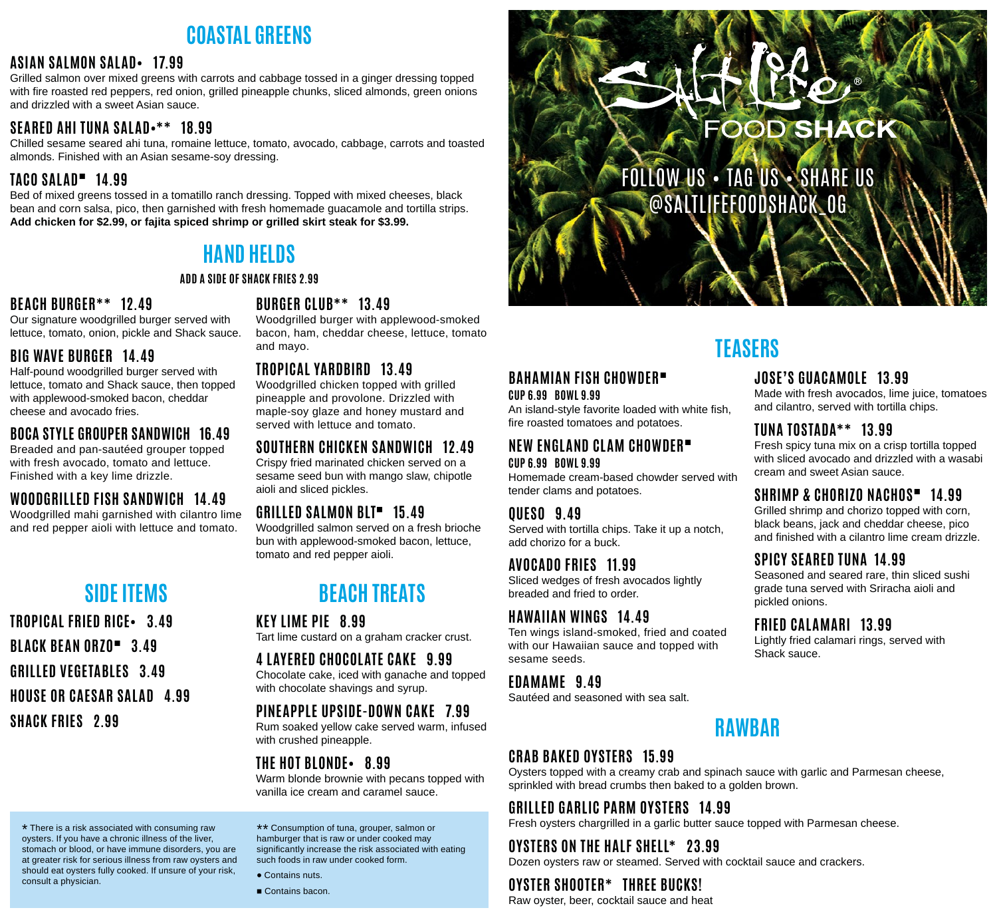# **COASTAL GREENS**

#### **ASIAN SALMON SALAD• 17.99**

Grilled salmon over mixed greens with carrots and cabbage tossed in a ginger dressing topped with fire roasted red peppers, red onion, grilled pineapple chunks, sliced almonds, green onions and drizzled with a sweet Asian sauce.

### **SEARED AHI TUNA SALAD•\*\* 18.99**

Chilled sesame seared ahi tuna, romaine lettuce, tomato, avocado, cabbage, carrots and toasted almonds. Finished with an Asian sesame-soy dressing.

### **TACO SALAD**■ **14.99**

Bed of mixed greens tossed in a tomatillo ranch dressing. Topped with mixed cheeses, black bean and corn salsa, pico, then garnished with fresh homemade guacamole and tortilla strips. **Add chicken for \$2.99, or fajita spiced shrimp or grilled skirt steak for \$3.99.**

# **HAND HELDS**

#### **ADD A SIDE OF SHACK FRIES 2.99**

### **BEACH BURGER\*\* 12.49**

Our signature woodgrilled burger served with lettuce, tomato, onion, pickle and Shack sauce.

### **BIG WAVE BURGER 14.49**

Half-pound woodgrilled burger served with lettuce, tomato and Shack sauce, then topped with applewood-smoked bacon, cheddar cheese and avocado fries.

### **BOCA STYLE GROUPER SANDWICH 16.49**

Breaded and pan-sautéed grouper topped with fresh avocado, tomato and lettuce. Finished with a key lime drizzle.

### **WOODGRILLED FISH SANDWICH 14.49**

Woodgrilled mahi garnished with cilantro lime and red pepper aioli with lettuce and tomato.

# **SIDE ITEMS**

**TROPICAL FRIED RICE• 3.49 BLACK BEAN ORZO**■ **3.49 GRILLED VEGETABLES 3.49 HOUSE OR CAESAR SALAD 4.99 SHACK FRIES 2.99**

### **BURGER CLUB\*\* 13.49**

Woodgrilled burger with applewood-smoked bacon, ham, cheddar cheese, lettuce, tomato and mayo.

### **TROPICAL YARDBIRD 13.49**

Woodgrilled chicken topped with grilled pineapple and provolone. Drizzled with maple-soy glaze and honey mustard and served with lettuce and tomato.

### **SOUTHERN CHICKEN SANDWICH 12.49**

Crispy fried marinated chicken served on a sesame seed bun with mango slaw, chipotle aioli and sliced pickles.

### **GRILLED SALMON BLT**■ **15.49**

Woodgrilled salmon served on a fresh brioche bun with applewood-smoked bacon, lettuce, tomato and red pepper aioli.

# **BEACH TREATS**

**KEY LIME PIE 8.99**

Tart lime custard on a graham cracker crust.

#### **4 LAYERED CHOCOLATE CAKE 9.99**

Chocolate cake, iced with ganache and topped with chocolate shavings and syrup.

### **PINEAPPLE UPSIDE-DOWN CAKE 7.99**

Rum soaked yellow cake served warm, infused with crushed pineapple.

### **THE HOT BLONDE• 8.99**

Warm blonde brownie with pecans topped with vanilla ice cream and caramel sauce.

\* There is a risk associated with consuming raw oysters. If you have a chronic illness of the liver, stomach or blood, or have immune disorders, you are at greater risk for serious illness from raw oysters and should eat oysters fully cooked. If unsure of your risk, consult a physician.

\*\* Consumption of tuna, grouper, salmon or hamburger that is raw or under cooked may significantly increase the risk associated with eating such foods in raw under cooked form.

• Contains nuts.

■ Contains bacon.



FOLLOW US • TAG US • SHARE US @SALTLIFEFOODSHACK\_OG

# **TEASERS**

#### **JOSE'S GUACAMOLE 13.99**

Made with fresh avocados, lime juice, tomatoes and cilantro, served with tortilla chips.

### **TUNA TOSTADA\*\* 13.99**

Fresh spicy tuna mix on a crisp tortilla topped with sliced avocado and drizzled with a wasabi cream and sweet Asian sauce.

### **SHRIMP & CHORIZO NACHOS**■ **14.99**

Grilled shrimp and chorizo topped with corn, black beans, jack and cheddar cheese, pico and finished with a cilantro lime cream drizzle.

### **SPICY SEARED TUNA 14.99**

Seasoned and seared rare, thin sliced sushi grade tuna served with Sriracha aioli and pickled onions.

### **FRIED CALAMARI 13.99**

Lightly fried calamari rings, served with Shack sauce.

### **EDAMAME 9.49**

sesame seeds.

Sautéed and seasoned with sea salt.

**BAHAMIAN FISH CHOWDER**■

An island-style favorite loaded with white fish,

Served with tortilla chips. Take it up a notch,

Ten wings island-smoked, fried and coated with our Hawaiian sauce and topped with

Sliced wedges of fresh avocados lightly

**CUP 6.99 BOWL 9.99**

**CUP 6.99 BOWL 9.99**

**QUESO 9.49**

tender clams and potatoes.

add chorizo for a buck.

**AVOCADO FRIES 11.99**

breaded and fried to order.

**HAWAIIAN WINGS 14.49**

# **CRAB BAKED OYSTERS 15.99**

Oysters topped with a creamy crab and spinach sauce with garlic and Parmesan cheese, sprinkled with bread crumbs then baked to a golden brown.

## **GRILLED GARLIC PARM OYSTERS 14.99**

Fresh oysters chargrilled in a garlic butter sauce topped with Parmesan cheese.

### **OYSTERS ON THE HALF SHELL\* 23.99**

Dozen oysters raw or steamed. Served with cocktail sauce and crackers.

### **OYSTER SHOOTER\* THREE BUCKS!**

Raw oyster, beer, cocktail sauce and heat

**RAWBAR**

fire roasted tomatoes and potatoes. **NEW ENGLAND CLAM CHOWDER**■ Homemade cream-based chowder served with